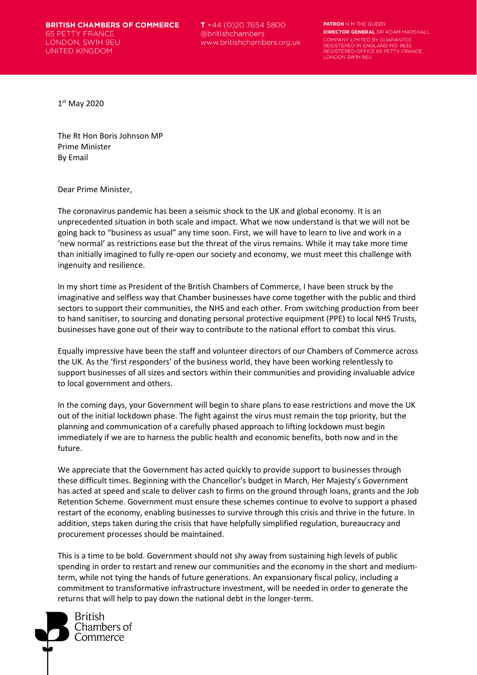**BRITISH CHAMBERS OF COMMERCE 65 PETTY FRANCE** LONDON, SWIH 9EU UNITED KINGDOM

 $T + 44$  (0)20 7654 5800 @britishchambers www.britishchambers.org.uk **PATRON H M THE QUEEN DIRECTOR GENERAL** DR ADAM MARSHALL COMPANY LIMITED BY GUARANTEE REGISTERED IN ENGLAND NO REGISTERED OFFICE 65 PETTY FRANCE. LONDON SWIH 9EU

1st May 2020

The Rt Hon Boris Johnson MP Prime Minister By Email

Dear Prime Minister,

The coronavirus pandemic has been a seismic shock to the UK and global economy. It is an unprecedented situation in both scale and impact. What we now understand is that we will not be going back to "business as usual" any time soon. First, we will have to learn to live and work in a 'new normal' as restrictions ease but the threat of the virus remains. While it may take more time than initially imagined to fully re-open our society and economy, we must meet this challenge with ingenuity and resilience. 

In my short time as President of the British Chambers of Commerce, I have been struck by the imaginative and selfless way that Chamber businesses have come together with the public and third sectors to support their communities, the NHS and each other. From switching production from beer to hand sanitiser, to sourcing and donating personal protective equipment (PPE) to local NHS Trusts, businesses have gone out of their way to contribute to the national effort to combat this virus.

Equally impressive have been the staff and volunteer directors of our Chambers of Commerce across the UK. As the 'first responders' of the business world, they have been working relentlessly to support businesses of all sizes and sectors within their communities and providing invaluable advice to local government and others.

In the coming days, your Government will begin to share plans to ease restrictions and move the UK out of the initial lockdown phase. The fight against the virus must remain the top priority, but the planning and communication of a carefully phased approach to lifting lockdown must begin immediately if we are to harness the public health and economic benefits, both now and in the future.

We appreciate that the Government has acted quickly to provide support to businesses through these difficult times. Beginning with the Chancellor's budget in March, Her Majesty's Government has acted at speed and scale to deliver cash to firms on the ground through loans, grants and the Job Retention Scheme. Government must ensure these schemes continue to evolve to support a phased restart of the economy, enabling businesses to survive through this crisis and thrive in the future. In addition, steps taken during the crisis that have helpfully simplified regulation, bureaucracy and procurement processes should be maintained.

This is a time to be bold. Government should not shy away from sustaining high levels of public spending in order to restart and renew our communities and the economy in the short and mediumterm, while not tying the hands of future generations. An expansionary fiscal policy, including a commitment to transformative infrastructure investment, will be needed in order to generate the returns that will help to pay down the national debt in the longer-term.

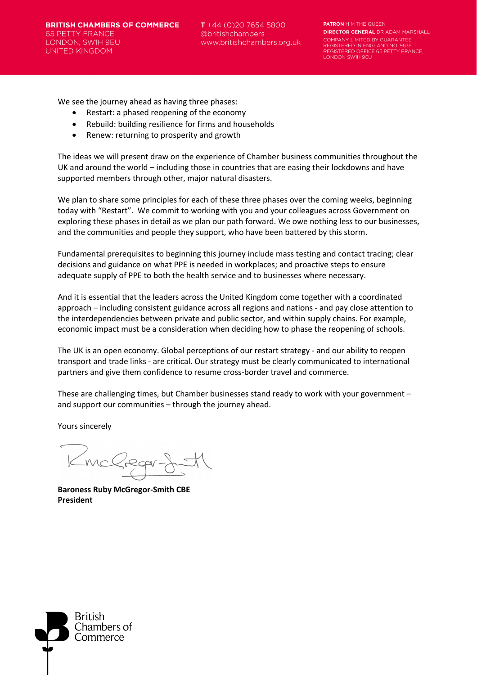$T + 44(0)2076545800$ @britishchambers www.britishchambers.org.uk **PATRON H M THE QUEEN DIRECTOR GENERAL** DR ADAM MARSHALL COMPANY LIMITED BY GUARANTEE REGISTERED IN ENGLAND NO. REGISTERED OFFICE 65 PETTY FRANCE,<br>LONDON SWIH 9EU

We see the journey ahead as having three phases:

- Restart: a phased reopening of the economy
- Rebuild: building resilience for firms and households
- Renew: returning to prosperity and growth

The ideas we will present draw on the experience of Chamber business communities throughout the UK and around the world – including those in countries that are easing their lockdowns and have supported members through other, major natural disasters.

We plan to share some principles for each of these three phases over the coming weeks, beginning today with "Restart". We commit to working with you and your colleagues across Government on exploring these phases in detail as we plan our path forward. We owe nothing less to our businesses, and the communities and people they support, who have been battered by this storm.

Fundamental prerequisites to beginning this journey include mass testing and contact tracing; clear decisions and guidance on what PPE is needed in workplaces; and proactive steps to ensure adequate supply of PPE to both the health service and to businesses where necessary.

And it is essential that the leaders across the United Kingdom come together with a coordinated approach – including consistent guidance across all regions and nations - and pay close attention to the interdependencies between private and public sector, and within supply chains. For example, economic impact must be a consideration when deciding how to phase the reopening of schools.

The UK is an open economy. Global perceptions of our restart strategy - and our ability to reopen transport and trade links - are critical. Our strategy must be clearly communicated to international partners and give them confidence to resume cross-border travel and commerce.

These are challenging times, but Chamber businesses stand ready to work with your government – and support our communities – through the journey ahead.

Yours sincerely

McCrequ

**Baroness Ruby McGregor-Smith CBE President**

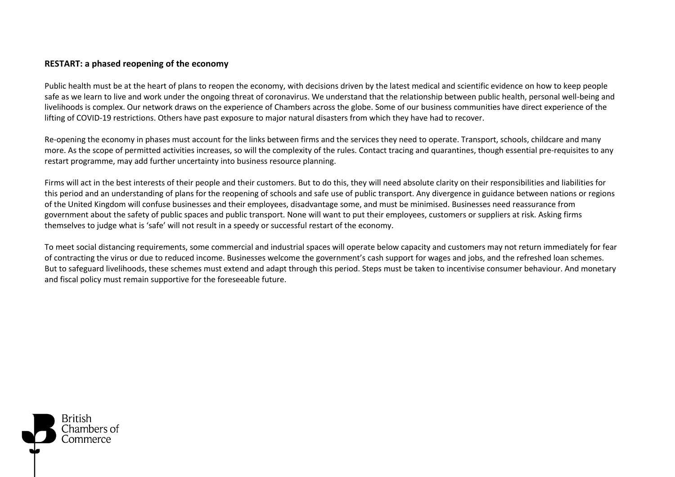## **RESTART: a phased reopening of the economy**

Public health must be at the heart of plans to reopen the economy, with decisions driven by the latest medical and scientific evidence on how to keep people safe as we learn to live and work under the ongoing threat of coronavirus. We understand that the relationship between public health, personal well-being and livelihoods is complex. Our network draws on the experience of Chambers across the globe. Some of our business communities have direct experience of the lifting of COVID-19 restrictions. Others have past exposure to major natural disasters from which they have had to recover.

Re-opening the economy in phases must account for the links between firms and the services they need to operate. Transport, schools, childcare and many more. As the scope of permitted activities increases, so will the complexity of the rules. Contact tracing and quarantines, though essential pre-requisites to any restart programme, may add further uncertainty into business resource planning.

Firms will act in the best interests of their people and their customers. But to do this, they will need absolute clarity on their responsibilities and liabilities for this period and an understanding of plans for the reopening of schools and safe use of public transport. Any divergence in guidance between nations or regions of the United Kingdom will confuse businesses and their employees, disadvantage some, and must be minimised. Businesses need reassurance from government about the safety of public spaces and public transport. None will want to put their employees, customers or suppliers at risk. Asking firms themselves to judge what is 'safe' will not result in a speedy or successful restart of the economy.

To meet social distancing requirements, some commercial and industrial spaces will operate below capacity and customers may not return immediately for fear of contracting the virus or due to reduced income. Businesses welcome the government's cash support for wages and jobs, and the refreshed loan schemes. But to safeguard livelihoods, these schemes must extend and adapt through this period. Steps must be taken to incentivise consumer behaviour. And monetary and fiscal policy must remain supportive for the foreseeable future.